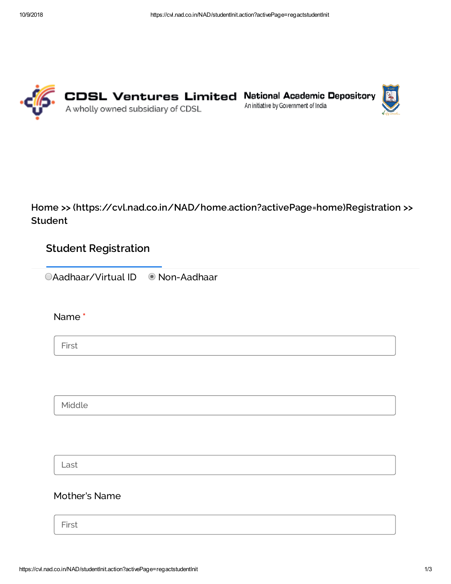





Home >> [\(https://cvl.nad.co.in/NAD/home.action?activePage=home\)](https://cvl.nad.co.in/NAD/home.action?activePage=home)Registration >> Student

# Student Registration

CAadhaar/Virtual ID © Non-Aadhaar

Name \*

First

Middle

Last

## Mother's Name

First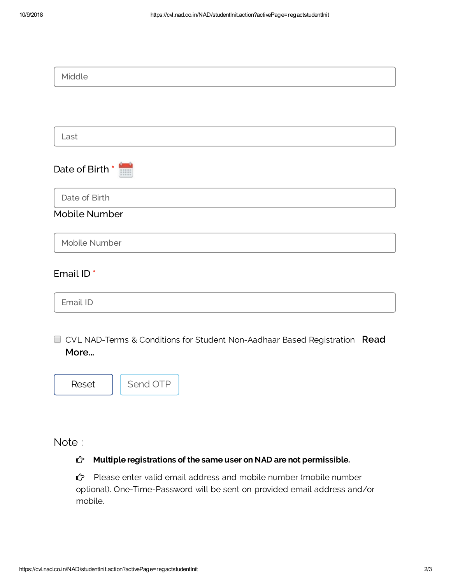| Middle                                                                               |
|--------------------------------------------------------------------------------------|
|                                                                                      |
|                                                                                      |
| Last                                                                                 |
| Date of Birth                                                                        |
| Date of Birth                                                                        |
| <b>Mobile Number</b>                                                                 |
| Mobile Number                                                                        |
| Email ID*                                                                            |
| Email ID                                                                             |
| □ CVL NAD-Terms & Conditions for Student Non-Aadhaar Based Registration Read<br>More |
| Send OTP<br>Reset                                                                    |

Note :

### $\hat{C}$  Multiple registrations of the same user on NAD are not permissible.

 Please enter valid email address and mobile number (mobile number optional). One-Time-Password will be sent on provided email address and/or mobile.